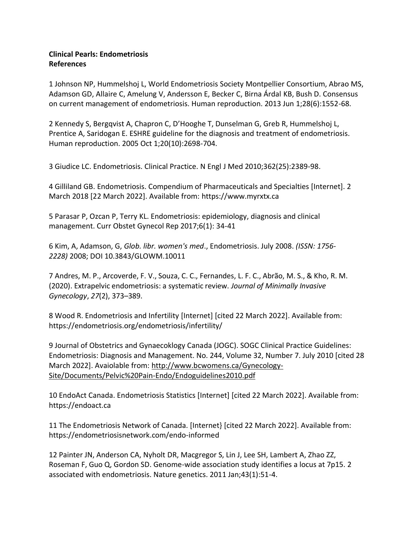## **Clinical Pearls: Endometriosis References**

1 Johnson NP, Hummelshoj L, World Endometriosis Society Montpellier Consortium, Abrao MS, Adamson GD, Allaire C, Amelung V, Andersson E, Becker C, Birna Árdal KB, Bush D. Consensus on current management of endometriosis. Human reproduction. 2013 Jun 1;28(6):1552-68.

2 Kennedy S, Bergqvist A, Chapron C, D'Hooghe T, Dunselman G, Greb R, Hummelshoj L, Prentice A, Saridogan E. ESHRE guideline for the diagnosis and treatment of endometriosis. Human reproduction. 2005 Oct 1;20(10):2698-704.

3 Giudice LC. Endometriosis. Clinical Practice. [N Engl J Med 2010;362\(25\):2389-98.](http://www.ncbi.nlm.nih.gov/pubmed/20573927)

4 Gilliland GB. Endometriosis. Compendium of Pharmaceuticals and Specialties [Internet]. 2 March 2018 [22 March 2022]. Available from: [https://www.myrxtx.ca](https://www.myrxtx.ca/)

5 Parasar P, Ozcan P, Terry KL. Endometriosis: epidemiology, diagnosis and clinical management. Curr Obstet Gynecol Rep 2017;6(1): 34-41

6 Kim, A, Adamson, G, *Glob. libr. women's med*., Endometriosis. July 2008. *(ISSN: 1756- 2228)* 2008; DOI 10.3843/GLOWM.10011

7 Andres, M. P., Arcoverde, F. V., Souza, C. C., Fernandes, L. F. C., Abrão, M. S., & Kho, R. M. (2020). Extrapelvic endometriosis: a systematic review. *Journal of Minimally Invasive Gynecology*, *27*(2), 373–389.

8 Wood R. Endometriosis and Infertility [Internet] [cited 22 March 2022]. Available from: <https://endometriosis.org/endometriosis/infertility/>

9 Journal of Obstetrics and Gynaecoklogy Canada (JOGC). SOGC Clinical Practice Guidelines: Endometriosis: Diagnosis and Management. No. 244, Volume 32, Number 7. July 2010 [cited 28 March 2022]. Avaiolable from: [http://www.bcwomens.ca/Gynecology-](http://www.bcwomens.ca/Gynecology-Site/Documents/Pelvic%20Pain-Endo/Endoguidelines2010.pdf)[Site/Documents/Pelvic%20Pain-Endo/Endoguidelines2010.pdf](http://www.bcwomens.ca/Gynecology-Site/Documents/Pelvic%20Pain-Endo/Endoguidelines2010.pdf)

10 EndoAct Canada. Endometriosis Statistics [Internet] [cited 22 March 2022]. Available from: [https://endoact.ca](https://endoact.ca/)

11 The Endometriosis Network of Canada. [Internet} [cited 22 March 2022]. Available from: <https://endometriosisnetwork.com/endo-informed>

12 Painter JN, Anderson CA, Nyholt DR, Macgregor S, Lin J, Lee SH, Lambert A, Zhao ZZ, Roseman F, Guo Q, Gordon SD. Genome-wide association study identifies a locus at 7p15. 2 associated with endometriosis. Nature genetics. 2011 Jan;43(1):51-4.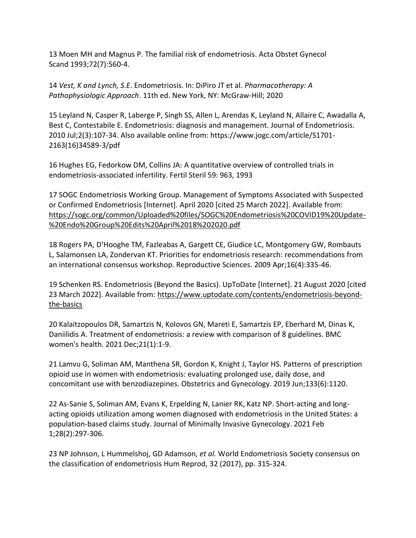13 Moen MH and Magnus P. The familial risk of endometriosis. [Acta Obstet Gynecol](http://www.ncbi.nlm.nih.gov/pubmed/8213105)  Scand [1993;72\(7\):560-4.](http://www.ncbi.nlm.nih.gov/pubmed/8213105)

14 *Vest, K and Lynch, S.E*. Endometriosis. In: DiPiro JT et al. *Pharmacotherapy: A Pathophysiologic Approach*. 11th ed. New York, NY: McGraw-Hill; 2020

15 Leyland N, Casper R, Laberge P, Singh SS, Allen L, Arendas K, Leyland N, Allaire C, Awadalla A, Best C, Contestabile E. Endometriosis: diagnosis and management. Journal of Endometriosis. 2010 Jul;2(3):107-34. Also available online from: [https://www.jogc.com/article/S1701-](https://www.jogc.com/article/S1701-2163(16)34589-3/pdf) [2163\(16\)34589-3/pdf](https://www.jogc.com/article/S1701-2163(16)34589-3/pdf)

16 Hughes EG, Fedorkow DM, Collins JA: A quantitative overview of controlled trials in endometriosis-associated infertility. Fertil Steril 59: 963, 1993

17 SOGC Endometriosis Working Group. Management of Symptoms Associated with Suspected or Confirmed Endometriosis [Internet]. April 2020 [cited 25 March 2022]. Available from: [https://sogc.org/common/Uploaded%20files/SOGC%20Endometriosis%20COVID19%20Update-](https://sogc.org/common/Uploaded%20files/SOGC%20Endometriosis%20COVID19%20Update-%20Endo%20Group%20Edits%20April%2018%202020.pdf) [%20Endo%20Group%20Edits%20April%2018%202020.pdf](https://sogc.org/common/Uploaded%20files/SOGC%20Endometriosis%20COVID19%20Update-%20Endo%20Group%20Edits%20April%2018%202020.pdf)

18 Rogers PA, D'Hooghe TM, Fazleabas A, Gargett CE, Giudice LC, Montgomery GW, Rombauts L, Salamonsen LA, Zondervan KT. Priorities for endometriosis research: recommendations from an international consensus workshop. Reproductive Sciences. 2009 Apr;16(4):335-46.

19 Schenken RS. Endometriosis (Beyond the Basics). UpToDate [Internet]. 21 August 2020 [cited 23 March 2022]. Available from: [https://www.uptodate.com/contents/endometriosis-beyond](https://www.uptodate.com/contents/endometriosis-beyond-the-basics)[the-basics](https://www.uptodate.com/contents/endometriosis-beyond-the-basics)

20 Kalaitzopoulos DR, Samartzis N, Kolovos GN, Mareti E, Samartzis EP, Eberhard M, Dinas K, Daniilidis A. Treatment of endometriosis: a review with comparison of 8 guidelines. BMC women's health. 2021 Dec;21(1):1-9.

21 Lamvu G, Soliman AM, Manthena SR, Gordon K, Knight J, Taylor HS. Patterns of prescription opioid use in women with endometriosis: evaluating prolonged use, daily dose, and concomitant use with benzodiazepines. Obstetrics and Gynecology. 2019 Jun;133(6):1120.

22 As-Sanie S, Soliman AM, Evans K, Erpelding N, Lanier RK, Katz NP. Short-acting and longacting opioids utilization among women diagnosed with endometriosis in the United States: a population-based claims study. Journal of Minimally Invasive Gynecology. 2021 Feb 1;28(2):297-306.

23 NP Johnson, L Hummelshoj, GD Adamson, *et al.* World Endometriosis Society consensus on the classification of endometriosis Hum Reprod, 32 (2017), pp. 315-324.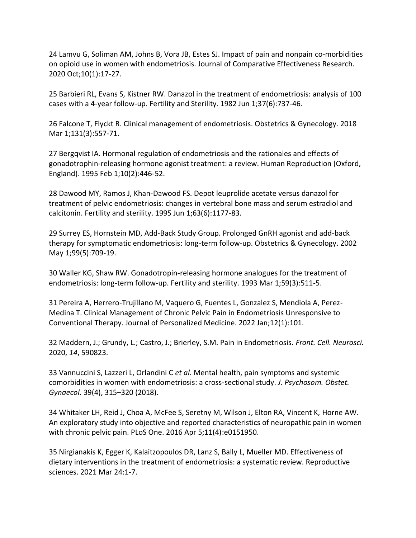24 Lamvu G, Soliman AM, Johns B, Vora JB, Estes SJ. Impact of pain and nonpain co-morbidities on opioid use in women with endometriosis. Journal of Comparative Effectiveness Research. 2020 Oct;10(1):17-27.

25 Barbieri RL, Evans S, Kistner RW. Danazol in the treatment of endometriosis: analysis of 100 cases with a 4-year follow-up. Fertility and Sterility. 1982 Jun 1;37(6):737-46.

26 Falcone T, Flyckt R. Clinical management of endometriosis. Obstetrics & Gynecology. 2018 Mar 1;131(3):557-71.

27 Bergqvist IA. Hormonal regulation of endometriosis and the rationales and effects of gonadotrophin-releasing hormone agonist treatment: a review. Human Reproduction (Oxford, England). 1995 Feb 1;10(2):446-52.

28 Dawood MY, Ramos J, Khan-Dawood FS. Depot leuprolide acetate versus danazol for treatment of pelvic endometriosis: changes in vertebral bone mass and serum estradiol and calcitonin. Fertility and sterility. 1995 Jun 1;63(6):1177-83.

29 Surrey ES, Hornstein MD, Add-Back Study Group. Prolonged GnRH agonist and add-back therapy for symptomatic endometriosis: long-term follow-up. Obstetrics & Gynecology. 2002 May 1;99(5):709-19.

30 Waller KG, Shaw RW. Gonadotropin-releasing hormone analogues for the treatment of endometriosis: long-term follow-up. Fertility and sterility. 1993 Mar 1;59(3):511-5.

31 Pereira A, Herrero-Trujillano M, Vaquero G, Fuentes L, Gonzalez S, Mendiola A, Perez-Medina T. Clinical Management of Chronic Pelvic Pain in Endometriosis Unresponsive to Conventional Therapy. Journal of Personalized Medicine. 2022 Jan;12(1):101.

32 Maddern, J.; Grundy, L.; Castro, J.; Brierley, S.M. Pain in Endometriosis. *Front. Cell. Neurosci.*  2020, *14*, 590823.

33 Vannuccini S, Lazzeri L, Orlandini C *et al.* Mental health, pain symptoms and systemic comorbidities in women with endometriosis: a cross-sectional study. *J. Psychosom. Obstet. Gynaecol.* 39(4), 315–320 (2018).

34 Whitaker LH, Reid J, Choa A, McFee S, Seretny M, Wilson J, Elton RA, Vincent K, Horne AW. An exploratory study into objective and reported characteristics of neuropathic pain in women with chronic pelvic pain. PLoS One. 2016 Apr 5;11(4):e0151950.

35 Nirgianakis K, Egger K, Kalaitzopoulos DR, Lanz S, Bally L, Mueller MD. Effectiveness of dietary interventions in the treatment of endometriosis: a systematic review. Reproductive sciences. 2021 Mar 24:1-7.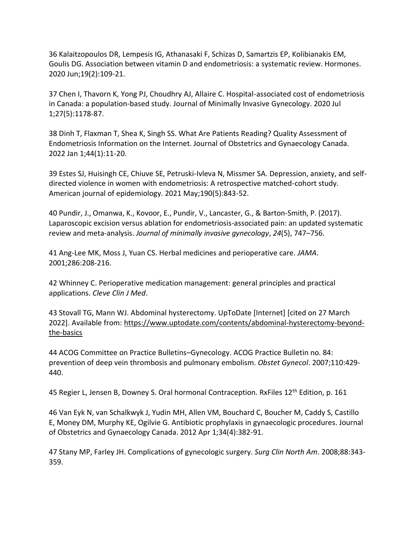36 Kalaitzopoulos DR, Lempesis IG, Athanasaki F, Schizas D, Samartzis EP, Kolibianakis EM, Goulis DG. Association between vitamin D and endometriosis: a systematic review. Hormones. 2020 Jun;19(2):109-21.

37 Chen I, Thavorn K, Yong PJ, Choudhry AJ, Allaire C. Hospital-associated cost of endometriosis in Canada: a population-based study. Journal of Minimally Invasive Gynecology. 2020 Jul 1;27(5):1178-87.

38 Dinh T, Flaxman T, Shea K, Singh SS. What Are Patients Reading? Quality Assessment of Endometriosis Information on the Internet. Journal of Obstetrics and Gynaecology Canada. 2022 Jan 1;44(1):11-20.

39 Estes SJ, Huisingh CE, Chiuve SE, Petruski-Ivleva N, Missmer SA. Depression, anxiety, and selfdirected violence in women with endometriosis: A retrospective matched-cohort study. American journal of epidemiology. 2021 May;190(5):843-52.

40 Pundir, J., Omanwa, K., Kovoor, E., Pundir, V., Lancaster, G., & Barton-Smith, P. (2017). Laparoscopic excision versus ablation for endometriosis-associated pain: an updated systematic review and meta-analysis. *Journal of minimally invasive gynecology*, *24*(5), 747–756.

41 Ang-Lee MK, Moss J, Yuan CS. Herbal medicines and perioperative care. *JAMA*. 2001;286:208-216.

42 Whinney C. Perioperative medication management: general principles and practical applications. *Cleve Clin J Med*.

43 Stovall TG, Mann WJ. Abdominal hysterectomy. UpToDate [Internet] [cited on 27 March 2022]. Available from: [https://www.uptodate.com/contents/abdominal-hysterectomy-beyond](https://www.uptodate.com/contents/abdominal-hysterectomy-beyond-the-basics)[the-basics](https://www.uptodate.com/contents/abdominal-hysterectomy-beyond-the-basics)

44 ACOG Committee on Practice Bulletins–Gynecology. ACOG Practice Bulletin no. 84: prevention of deep vein thrombosis and pulmonary embolism. *Obstet Gynecol*. 2007;110:429- 440.

45 Regier L, Jensen B, Downey S. Oral hormonal Contraception. RxFiles 12<sup>th</sup> Edition, p. 161

46 Van Eyk N, van Schalkwyk J, Yudin MH, Allen VM, Bouchard C, Boucher M, Caddy S, Castillo E, Money DM, Murphy KE, Ogilvie G. Antibiotic prophylaxis in gynaecologic procedures. Journal of Obstetrics and Gynaecology Canada. 2012 Apr 1;34(4):382-91.

47 Stany MP, Farley JH. Complications of gynecologic surgery. *Surg Clin North Am*. 2008;88:343- 359.